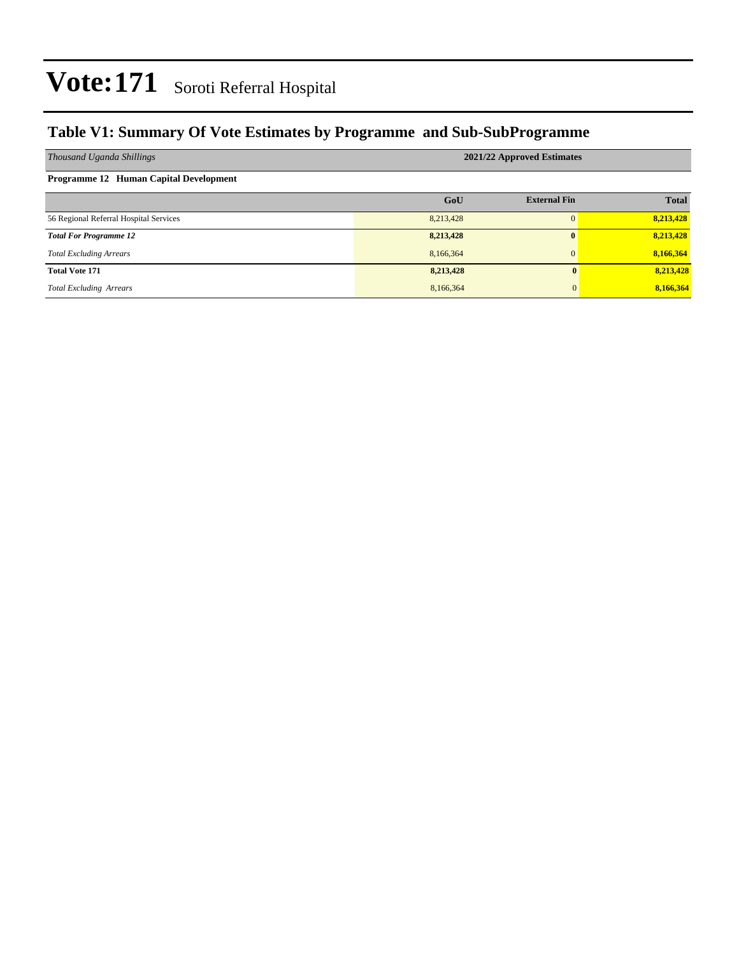#### **Table V1: Summary Of Vote Estimates by Programme and Sub-SubProgramme**

| Thousand Uganda Shillings              | 2021/22 Approved Estimates |                     |              |  |  |  |  |  |
|----------------------------------------|----------------------------|---------------------|--------------|--|--|--|--|--|
| Programme 12 Human Capital Development |                            |                     |              |  |  |  |  |  |
|                                        | GoU                        | <b>External Fin</b> | <b>Total</b> |  |  |  |  |  |
| 56 Regional Referral Hospital Services | 8,213,428                  |                     | 8,213,428    |  |  |  |  |  |
| <b>Total For Programme 12</b>          | 8,213,428                  | $\mathbf{0}$        | 8,213,428    |  |  |  |  |  |
| <b>Total Excluding Arrears</b>         | 8,166,364                  | $\mathbf{0}$        | 8,166,364    |  |  |  |  |  |
| <b>Total Vote 171</b>                  | 8,213,428                  | $\mathbf{0}$        | 8,213,428    |  |  |  |  |  |
| <b>Total Excluding Arrears</b>         | 8,166,364                  | $\overline{0}$      | 8,166,364    |  |  |  |  |  |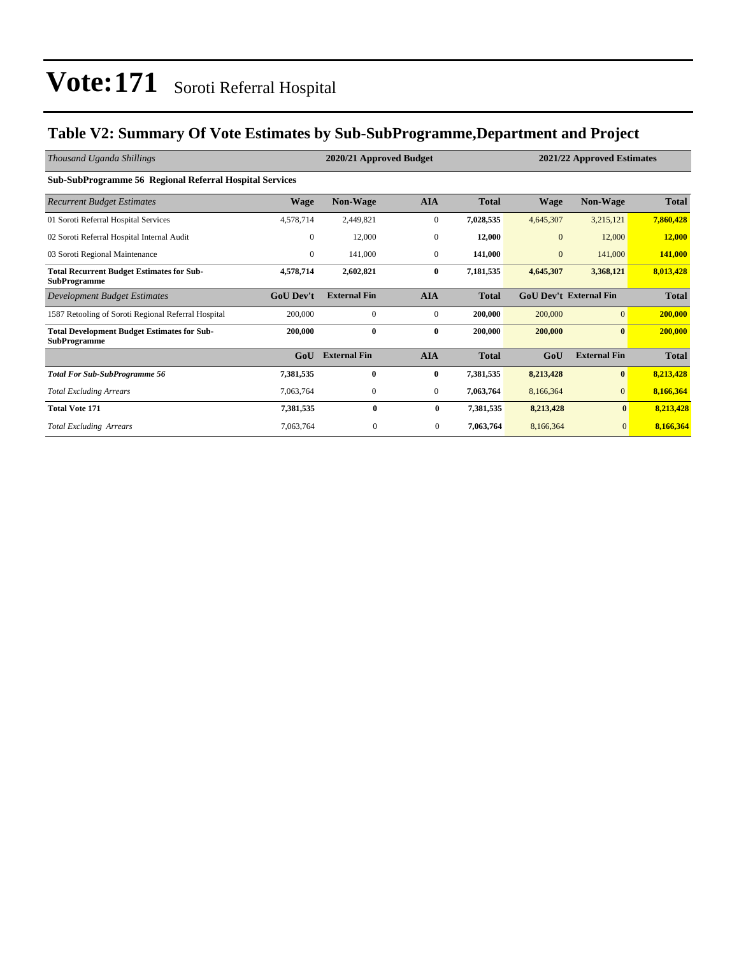#### **Table V2: Summary Of Vote Estimates by Sub-SubProgramme,Department and Project**

| Thousand Uganda Shillings                                                 |                  | 2020/21 Approved Budget<br>2021/22 Approved Estimates |                  |              |              |                               |              |
|---------------------------------------------------------------------------|------------------|-------------------------------------------------------|------------------|--------------|--------------|-------------------------------|--------------|
| <b>Sub-SubProgramme 56 Regional Referral Hospital Services</b>            |                  |                                                       |                  |              |              |                               |              |
| <b>Recurrent Budget Estimates</b>                                         | <b>Wage</b>      | <b>Non-Wage</b>                                       | <b>AIA</b>       | <b>Total</b> | <b>Wage</b>  | Non-Wage                      | <b>Total</b> |
| 01 Soroti Referral Hospital Services                                      | 4,578,714        | 2,449,821                                             | $\overline{0}$   | 7,028,535    | 4,645,307    | 3,215,121                     | 7,860,428    |
| 02 Soroti Referral Hospital Internal Audit                                | $\mathbf{0}$     | 12,000                                                | $\mathbf{0}$     | 12,000       | $\mathbf{0}$ | 12,000                        | 12,000       |
| 03 Soroti Regional Maintenance                                            | $\overline{0}$   | 141,000                                               | $\boldsymbol{0}$ | 141,000      | $\mathbf{0}$ | 141,000                       | 141,000      |
| <b>Total Recurrent Budget Estimates for Sub-</b><br><b>SubProgramme</b>   | 4,578,714        | 2,602,821                                             | $\bf{0}$         | 7,181,535    | 4,645,307    | 3,368,121                     | 8,013,428    |
| <b>Development Budget Estimates</b>                                       | <b>GoU Dev't</b> | <b>External Fin</b>                                   | <b>AIA</b>       | <b>Total</b> |              | <b>GoU Dev't External Fin</b> | <b>Total</b> |
| 1587 Retooling of Soroti Regional Referral Hospital                       | 200,000          | $\mathbf{0}$                                          | $\mathbf{0}$     | 200,000      | 200,000      | $\overline{0}$                | 200,000      |
| <b>Total Development Budget Estimates for Sub-</b><br><b>SubProgramme</b> | 200,000          | $\bf{0}$                                              | $\bf{0}$         | 200,000      | 200,000      | $\bf{0}$                      | 200,000      |
|                                                                           | GoU              | <b>External Fin</b>                                   | <b>AIA</b>       | <b>Total</b> | GoU          | <b>External Fin</b>           | <b>Total</b> |
| <b>Total For Sub-SubProgramme 56</b>                                      | 7,381,535        | $\bf{0}$                                              | $\bf{0}$         | 7,381,535    | 8,213,428    | $\bf{0}$                      | 8,213,428    |
| <b>Total Excluding Arrears</b>                                            | 7,063,764        | $\mathbf{0}$                                          | $\overline{0}$   | 7,063,764    | 8,166,364    | $\mathbf{0}$                  | 8,166,364    |
| <b>Total Vote 171</b>                                                     | 7,381,535        | $\bf{0}$                                              | $\bf{0}$         | 7,381,535    | 8,213,428    | $\bf{0}$                      | 8,213,428    |
| <b>Total Excluding Arrears</b>                                            | 7,063,764        | $\mathbf{0}$                                          | $\mathbf{0}$     | 7,063,764    | 8,166,364    | $\mathbf{0}$                  | 8,166,364    |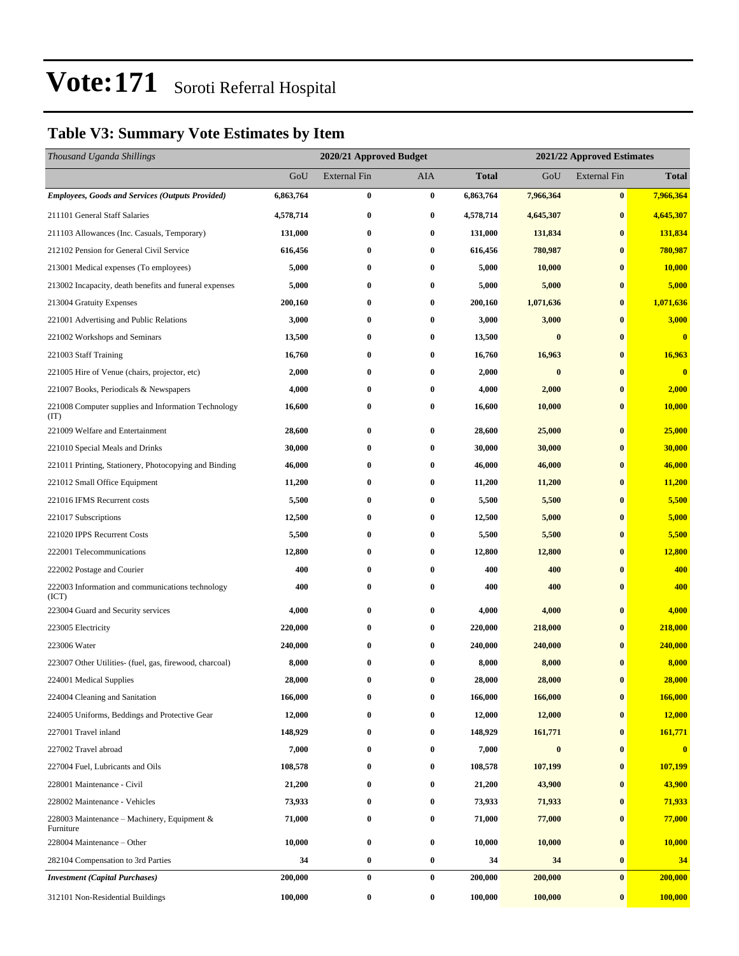#### **Table V3: Summary Vote Estimates by Item**

| Thousand Uganda Shillings                                   |           | 2020/21 Approved Budget |          | 2021/22 Approved Estimates |           |                     |               |
|-------------------------------------------------------------|-----------|-------------------------|----------|----------------------------|-----------|---------------------|---------------|
|                                                             | GoU       | <b>External Fin</b>     | AIA      | <b>Total</b>               | GoU       | <b>External Fin</b> | <b>Total</b>  |
| <b>Employees, Goods and Services (Outputs Provided)</b>     | 6,863,764 | $\bf{0}$                | $\bf{0}$ | 6,863,764                  | 7,966,364 | $\bf{0}$            | 7,966,364     |
| 211101 General Staff Salaries                               | 4,578,714 | $\bf{0}$                | $\bf{0}$ | 4,578,714                  | 4,645,307 | $\bf{0}$            | 4,645,307     |
| 211103 Allowances (Inc. Casuals, Temporary)                 | 131,000   | 0                       | $\bf{0}$ | 131,000                    | 131,834   | $\bf{0}$            | 131,834       |
| 212102 Pension for General Civil Service                    | 616,456   | $\bf{0}$                | $\bf{0}$ | 616,456                    | 780,987   | $\bf{0}$            | 780,987       |
| 213001 Medical expenses (To employees)                      | 5,000     | 0                       | $\bf{0}$ | 5,000                      | 10,000    | $\bf{0}$            | <b>10,000</b> |
| 213002 Incapacity, death benefits and funeral expenses      | 5,000     | $\bf{0}$                | $\bf{0}$ | 5,000                      | 5,000     | $\bf{0}$            | 5,000         |
| 213004 Gratuity Expenses                                    | 200,160   | 0                       | $\bf{0}$ | 200,160                    | 1,071,636 | $\bf{0}$            | 1,071,636     |
| 221001 Advertising and Public Relations                     | 3,000     | 0                       | $\bf{0}$ | 3,000                      | 3,000     | $\bf{0}$            | 3,000         |
| 221002 Workshops and Seminars                               | 13,500    | $\bf{0}$                | $\bf{0}$ | 13,500                     | $\bf{0}$  | $\bf{0}$            | $\bf{0}$      |
| 221003 Staff Training                                       | 16,760    | 0                       | $\bf{0}$ | 16,760                     | 16,963    | $\bf{0}$            | 16,963        |
| 221005 Hire of Venue (chairs, projector, etc)               | 2,000     | $\bf{0}$                | $\bf{0}$ | 2,000                      | $\bf{0}$  | $\bf{0}$            | $\bf{0}$      |
| 221007 Books, Periodicals & Newspapers                      | 4,000     | 0                       | $\bf{0}$ | 4,000                      | 2,000     | $\bf{0}$            | 2,000         |
| 221008 Computer supplies and Information Technology<br>(TT) | 16,600    | 0                       | $\bf{0}$ | 16,600                     | 10,000    | $\bf{0}$            | 10,000        |
| 221009 Welfare and Entertainment                            | 28,600    | 0                       | $\bf{0}$ | 28,600                     | 25,000    | $\bf{0}$            | 25,000        |
| 221010 Special Meals and Drinks                             | 30,000    | $\bf{0}$                | $\bf{0}$ | 30,000                     | 30,000    | $\bf{0}$            | 30,000        |
| 221011 Printing, Stationery, Photocopying and Binding       | 46,000    | 0                       | $\bf{0}$ | 46,000                     | 46,000    | $\bf{0}$            | 46,000        |
| 221012 Small Office Equipment                               | 11,200    | 0                       | $\bf{0}$ | 11,200                     | 11,200    | $\bf{0}$            | 11,200        |
| 221016 IFMS Recurrent costs                                 | 5,500     | 0                       | $\bf{0}$ | 5,500                      | 5,500     | $\bf{0}$            | 5,500         |
| 221017 Subscriptions                                        | 12,500    | 0                       | $\bf{0}$ | 12,500                     | 5,000     | $\bf{0}$            | 5,000         |
| 221020 IPPS Recurrent Costs                                 | 5,500     | $\bf{0}$                | $\bf{0}$ | 5,500                      | 5,500     | $\bf{0}$            | 5,500         |
| 222001 Telecommunications                                   | 12,800    | 0                       | $\bf{0}$ | 12,800                     | 12,800    | $\bf{0}$            | 12,800        |
| 222002 Postage and Courier                                  | 400       | 0                       | $\bf{0}$ | 400                        | 400       | $\bf{0}$            | 400           |
| 222003 Information and communications technology<br>(ICT)   | 400       | $\bf{0}$                | $\bf{0}$ | 400                        | 400       | $\bf{0}$            | 400           |
| 223004 Guard and Security services                          | 4,000     | 0                       | $\bf{0}$ | 4,000                      | 4,000     | $\bf{0}$            | 4,000         |
| 223005 Electricity                                          | 220,000   | 0                       | $\bf{0}$ | 220,000                    | 218,000   | $\bf{0}$            | 218,000       |
| 223006 Water                                                | 240,000   | $\bf{0}$                | $\bf{0}$ | 240,000                    | 240,000   | $\bf{0}$            | 240,000       |
| 223007 Other Utilities- (fuel, gas, firewood, charcoal)     | 8,000     | 0                       | $\bf{0}$ | 8,000                      | 8,000     | $\mathbf{0}$        | 8,000         |
| 224001 Medical Supplies                                     | 28,000    | $\bf{0}$                | $\bf{0}$ | 28,000                     | 28,000    | $\bf{0}$            | 28,000        |
| 224004 Cleaning and Sanitation                              | 166,000   | 0                       | $\bf{0}$ | 166,000                    | 166,000   | $\bf{0}$            | 166,000       |
| 224005 Uniforms, Beddings and Protective Gear               | 12,000    | 0                       | $\bf{0}$ | 12,000                     | 12,000    | $\bf{0}$            | 12,000        |
| 227001 Travel inland                                        | 148,929   | $\bf{0}$                | $\bf{0}$ | 148,929                    | 161,771   | $\bf{0}$            | 161,771       |
| 227002 Travel abroad                                        | 7,000     | 0                       | $\bf{0}$ | 7,000                      | $\bf{0}$  | $\bf{0}$            | $\bf{0}$      |
| 227004 Fuel, Lubricants and Oils                            | 108,578   | $\bf{0}$                | $\bf{0}$ | 108,578                    | 107,199   | $\bf{0}$            | 107,199       |
| 228001 Maintenance - Civil                                  | 21,200    | 0                       | $\bf{0}$ | 21,200                     | 43,900    | $\bf{0}$            | 43,900        |
| 228002 Maintenance - Vehicles                               | 73,933    | 0                       | $\bf{0}$ | 73,933                     | 71,933    | $\bf{0}$            | 71,933        |
| 228003 Maintenance – Machinery, Equipment &<br>Furniture    | 71,000    | $\bf{0}$                | $\bf{0}$ | 71,000                     | 77,000    | $\bf{0}$            | 77,000        |
| 228004 Maintenance - Other                                  | 10,000    | $\bf{0}$                | $\bf{0}$ | 10,000                     | 10,000    | $\bf{0}$            | 10,000        |
| 282104 Compensation to 3rd Parties                          | 34        | $\bf{0}$                | $\bf{0}$ | 34                         | 34        | $\bf{0}$            | 34            |
| <b>Investment</b> (Capital Purchases)                       | 200,000   | $\bf{0}$                | $\bf{0}$ | 200,000                    | 200,000   | $\bf{0}$            | 200,000       |
| 312101 Non-Residential Buildings                            | 100,000   | $\pmb{0}$               | $\bf{0}$ | 100,000                    | 100,000   | $\bf{0}$            | 100,000       |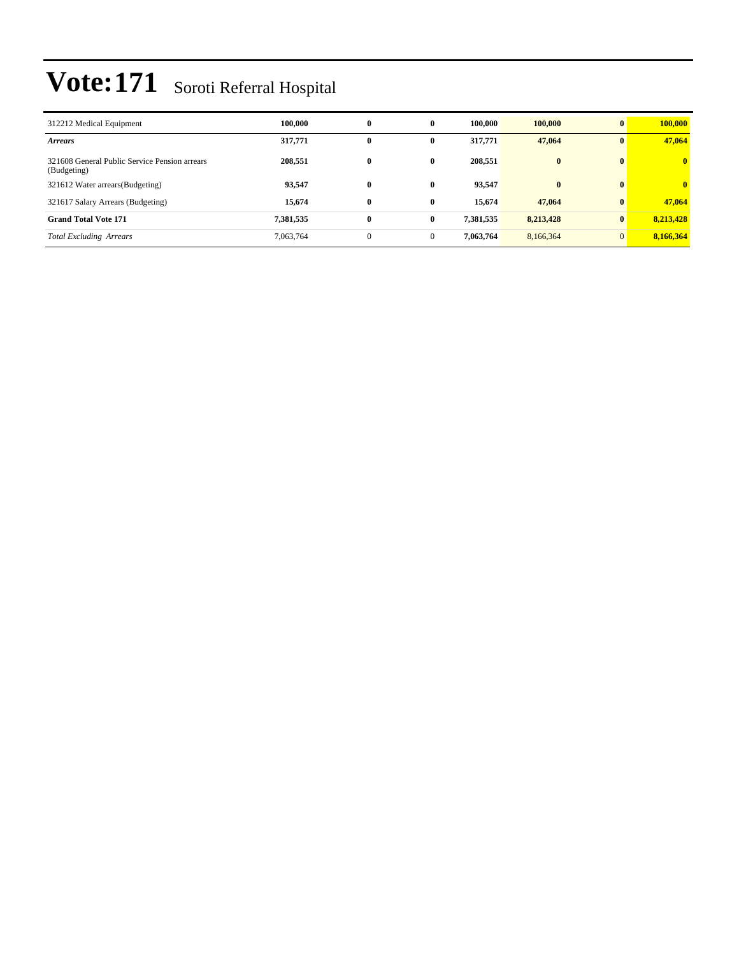| 312212 Medical Equipment                                     | 100.000   | $\bf{0}$     | $\bf{0}$     | 100.000   | 100,000   | $\mathbf{0}$ | 100,000                 |
|--------------------------------------------------------------|-----------|--------------|--------------|-----------|-----------|--------------|-------------------------|
| <b>Arrears</b>                                               | 317,771   | $\bf{0}$     | $\mathbf{0}$ | 317,771   | 47,064    | $\mathbf{0}$ | 47,064                  |
| 321608 General Public Service Pension arrears<br>(Budgeting) | 208,551   | $\bf{0}$     | $\bf{0}$     | 208,551   | $\bf{0}$  | $\mathbf{0}$ | $\overline{\mathbf{0}}$ |
| 321612 Water arrears (Budgeting)                             | 93,547    | $\bf{0}$     | $\mathbf{0}$ | 93,547    | $\bf{0}$  | $\mathbf{0}$ | $\overline{0}$          |
| 321617 Salary Arrears (Budgeting)                            | 15,674    | $\bf{0}$     | $\mathbf{0}$ | 15.674    | 47,064    | $\mathbf{0}$ | 47,064                  |
| <b>Grand Total Vote 171</b>                                  | 7,381,535 | $\bf{0}$     | $\bf{0}$     | 7,381,535 | 8,213,428 | $\bf{0}$     | 8,213,428               |
| <b>Total Excluding Arrears</b>                               | 7,063,764 | $\mathbf{0}$ | $\mathbf{0}$ | 7,063,764 | 8,166,364 | $\mathbf{0}$ | 8,166,364               |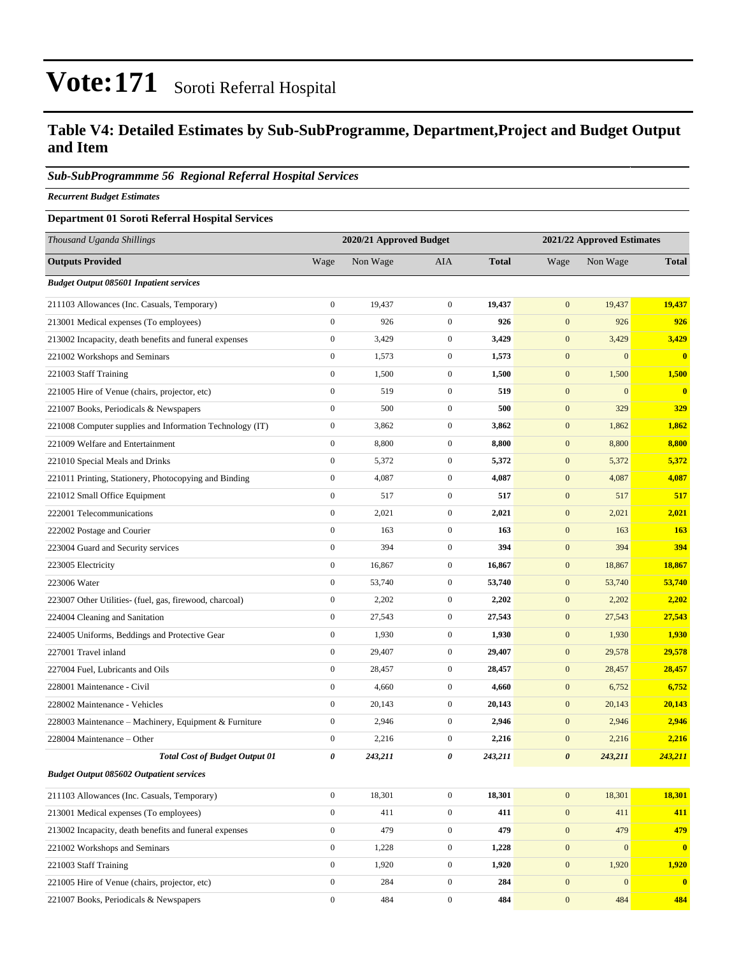#### **Table V4: Detailed Estimates by Sub-SubProgramme, Department,Project and Budget Output and Item**

#### *Sub-SubProgrammme 56 Regional Referral Hospital Services*

*Recurrent Budget Estimates*

#### **Department 01 Soroti Referral Hospital Services**

| Thousand Uganda Shillings                                |                  | 2020/21 Approved Budget |                  |              |                       | 2021/22 Approved Estimates |                         |
|----------------------------------------------------------|------------------|-------------------------|------------------|--------------|-----------------------|----------------------------|-------------------------|
| <b>Outputs Provided</b>                                  | Wage             | Non Wage                | <b>AIA</b>       | <b>Total</b> | Wage                  | Non Wage                   | <b>Total</b>            |
| <b>Budget Output 085601 Inpatient services</b>           |                  |                         |                  |              |                       |                            |                         |
| 211103 Allowances (Inc. Casuals, Temporary)              | $\boldsymbol{0}$ | 19,437                  | $\boldsymbol{0}$ | 19,437       | $\mathbf{0}$          | 19,437                     | 19,437                  |
| 213001 Medical expenses (To employees)                   | $\mathbf{0}$     | 926                     | $\boldsymbol{0}$ | 926          | $\mathbf{0}$          | 926                        | 926                     |
| 213002 Incapacity, death benefits and funeral expenses   | $\boldsymbol{0}$ | 3,429                   | $\mathbf{0}$     | 3,429        | $\mathbf{0}$          | 3,429                      | 3,429                   |
| 221002 Workshops and Seminars                            | $\boldsymbol{0}$ | 1,573                   | $\mathbf{0}$     | 1,573        | $\boldsymbol{0}$      | $\mathbf{0}$               | $\bf{0}$                |
| 221003 Staff Training                                    | $\boldsymbol{0}$ | 1,500                   | $\mathbf{0}$     | 1,500        | $\boldsymbol{0}$      | 1,500                      | 1,500                   |
| 221005 Hire of Venue (chairs, projector, etc)            | $\boldsymbol{0}$ | 519                     | $\boldsymbol{0}$ | 519          | $\boldsymbol{0}$      | $\mathbf{0}$               | $\bf{0}$                |
| 221007 Books, Periodicals & Newspapers                   | $\boldsymbol{0}$ | 500                     | $\mathbf{0}$     | 500          | $\mathbf{0}$          | 329                        | 329                     |
| 221008 Computer supplies and Information Technology (IT) | $\boldsymbol{0}$ | 3,862                   | $\mathbf{0}$     | 3,862        | $\mathbf{0}$          | 1,862                      | 1,862                   |
| 221009 Welfare and Entertainment                         | $\boldsymbol{0}$ | 8,800                   | $\boldsymbol{0}$ | 8,800        | $\boldsymbol{0}$      | 8,800                      | 8,800                   |
| 221010 Special Meals and Drinks                          | $\boldsymbol{0}$ | 5,372                   | $\boldsymbol{0}$ | 5,372        | $\boldsymbol{0}$      | 5,372                      | 5,372                   |
| 221011 Printing, Stationery, Photocopying and Binding    | $\boldsymbol{0}$ | 4,087                   | $\mathbf{0}$     | 4,087        | $\boldsymbol{0}$      | 4,087                      | 4,087                   |
| 221012 Small Office Equipment                            | $\mathbf{0}$     | 517                     | $\mathbf{0}$     | 517          | $\mathbf{0}$          | 517                        | 517                     |
| 222001 Telecommunications                                | $\boldsymbol{0}$ | 2,021                   | $\mathbf{0}$     | 2,021        | $\mathbf{0}$          | 2,021                      | 2,021                   |
| 222002 Postage and Courier                               | $\boldsymbol{0}$ | 163                     | $\boldsymbol{0}$ | 163          | $\boldsymbol{0}$      | 163                        | <b>163</b>              |
| 223004 Guard and Security services                       | $\boldsymbol{0}$ | 394                     | $\boldsymbol{0}$ | 394          | $\mathbf{0}$          | 394                        | 394                     |
| 223005 Electricity                                       | $\boldsymbol{0}$ | 16,867                  | $\mathbf{0}$     | 16,867       | $\boldsymbol{0}$      | 18,867                     | 18,867                  |
| 223006 Water                                             | $\mathbf{0}$     | 53,740                  | $\mathbf{0}$     | 53,740       | $\mathbf{0}$          | 53,740                     | 53,740                  |
| 223007 Other Utilities- (fuel, gas, firewood, charcoal)  | $\boldsymbol{0}$ | 2,202                   | $\mathbf{0}$     | 2,202        | $\mathbf{0}$          | 2,202                      | 2,202                   |
| 224004 Cleaning and Sanitation                           | $\boldsymbol{0}$ | 27,543                  | $\mathbf{0}$     | 27,543       | $\boldsymbol{0}$      | 27,543                     | 27,543                  |
| 224005 Uniforms, Beddings and Protective Gear            | $\boldsymbol{0}$ | 1,930                   | $\mathbf{0}$     | 1,930        | $\boldsymbol{0}$      | 1,930                      | 1,930                   |
| 227001 Travel inland                                     | $\boldsymbol{0}$ | 29,407                  | $\mathbf{0}$     | 29,407       | $\boldsymbol{0}$      | 29,578                     | 29,578                  |
| 227004 Fuel, Lubricants and Oils                         | $\mathbf{0}$     | 28,457                  | $\mathbf{0}$     | 28,457       | $\mathbf{0}$          | 28,457                     | 28,457                  |
| 228001 Maintenance - Civil                               | $\boldsymbol{0}$ | 4,660                   | $\mathbf{0}$     | 4,660        | $\mathbf{0}$          | 6,752                      | 6,752                   |
| 228002 Maintenance - Vehicles                            | $\boldsymbol{0}$ | 20,143                  | $\boldsymbol{0}$ | 20,143       | $\mathbf{0}$          | 20,143                     | 20,143                  |
| 228003 Maintenance - Machinery, Equipment & Furniture    | $\boldsymbol{0}$ | 2,946                   | $\mathbf{0}$     | 2,946        | $\mathbf{0}$          | 2,946                      | 2,946                   |
| 228004 Maintenance - Other                               | $\boldsymbol{0}$ | 2,216                   | $\boldsymbol{0}$ | 2,216        | $\boldsymbol{0}$      | 2,216                      | 2,216                   |
| <b>Total Cost of Budget Output 01</b>                    | 0                | 243,211                 | 0                | 243,211      | $\boldsymbol{\theta}$ | 243,211                    | 243,211                 |
| <b>Budget Output 085602 Outpatient services</b>          |                  |                         |                  |              |                       |                            |                         |
| 211103 Allowances (Inc. Casuals, Temporary)              | $\mathbf{0}$     | 18,301                  | $\mathbf{0}$     | 18,301       | $\mathbf{0}$          | 18,301                     | 18,301                  |
| 213001 Medical expenses (To employees)                   | $\overline{0}$   | 411                     | $\boldsymbol{0}$ | 411          | $\mathbf{0}$          | 411                        | 411                     |
| 213002 Incapacity, death benefits and funeral expenses   | $\mathbf{0}$     | 479                     | $\boldsymbol{0}$ | 479          | $\mathbf{0}$          | 479                        | 479                     |
| 221002 Workshops and Seminars                            | $\mathbf{0}$     | 1,228                   | $\mathbf{0}$     | 1,228        | $\boldsymbol{0}$      | $\boldsymbol{0}$           | $\bf{0}$                |
| 221003 Staff Training                                    | $\overline{0}$   | 1,920                   | $\overline{0}$   | 1,920        | $\mathbf{0}$          | 1,920                      | 1,920                   |
| 221005 Hire of Venue (chairs, projector, etc)            | $\boldsymbol{0}$ | 284                     | $\mathbf{0}$     | 284          | $\mathbf{0}$          | $\mathbf{0}$               | $\overline{\mathbf{0}}$ |
| 221007 Books, Periodicals & Newspapers                   | $\mathbf{0}$     | 484                     | $\overline{0}$   | 484          | $\mathbf{0}$          | 484                        | 484                     |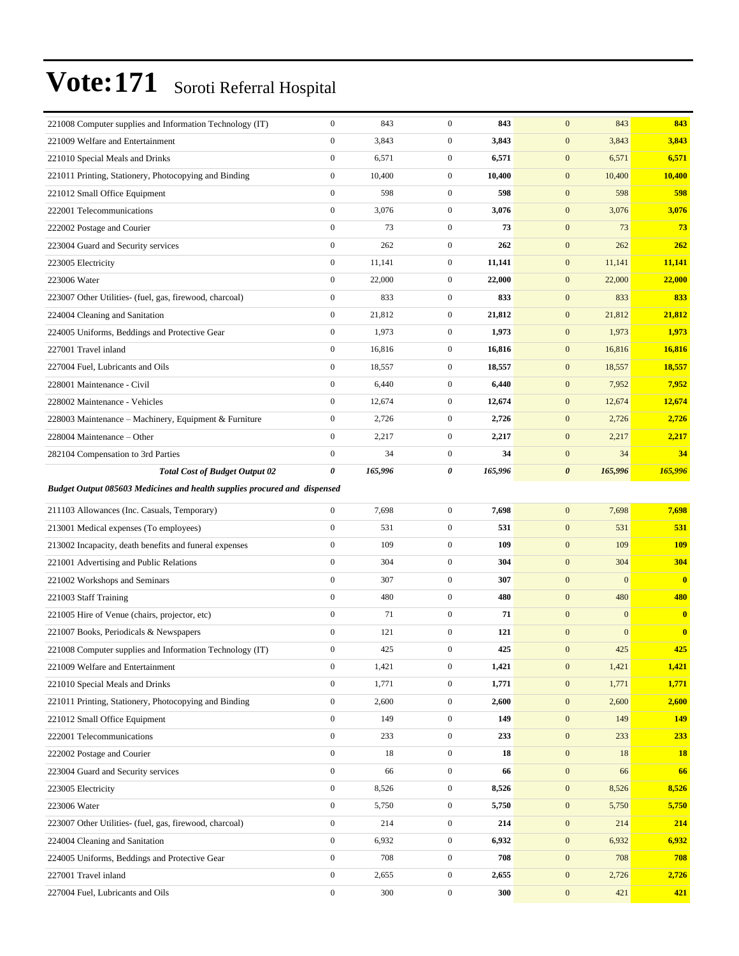| 221008 Computer supplies and Information Technology (IT)                         | $\boldsymbol{0}$                 | 843          | $\mathbf{0}$                         | 843          | $\boldsymbol{0}$                 | 843            | 843          |
|----------------------------------------------------------------------------------|----------------------------------|--------------|--------------------------------------|--------------|----------------------------------|----------------|--------------|
| 221009 Welfare and Entertainment                                                 | $\boldsymbol{0}$                 | 3,843        | $\boldsymbol{0}$                     | 3,843        | $\boldsymbol{0}$                 | 3,843          | 3,843        |
| 221010 Special Meals and Drinks                                                  | $\boldsymbol{0}$                 | 6,571        | $\boldsymbol{0}$                     | 6,571        | $\boldsymbol{0}$                 | 6,571          | 6,571        |
| 221011 Printing, Stationery, Photocopying and Binding                            | $\boldsymbol{0}$                 | 10,400       | $\boldsymbol{0}$                     | 10,400       | $\boldsymbol{0}$                 | 10,400         | 10,400       |
| 221012 Small Office Equipment                                                    | $\mathbf{0}$                     | 598          | $\boldsymbol{0}$                     | 598          | $\mathbf{0}$                     | 598            | 598          |
| 222001 Telecommunications                                                        | $\boldsymbol{0}$                 | 3,076        | $\boldsymbol{0}$                     | 3,076        | $\boldsymbol{0}$                 | 3,076          | 3,076        |
| 222002 Postage and Courier                                                       | $\mathbf{0}$                     | 73           | $\boldsymbol{0}$                     | 73           | $\mathbf{0}$                     | 73             | 73           |
| 223004 Guard and Security services                                               | $\boldsymbol{0}$                 | 262          | $\boldsymbol{0}$                     | 262          | $\mathbf{0}$                     | 262            | 262          |
| 223005 Electricity                                                               | $\boldsymbol{0}$                 | 11,141       | $\boldsymbol{0}$                     | 11,141       | $\mathbf{0}$                     | 11,141         | 11,141       |
| 223006 Water                                                                     | $\mathbf{0}$                     | 22,000       | $\boldsymbol{0}$                     | 22,000       | $\mathbf{0}$                     | 22,000         | 22,000       |
| 223007 Other Utilities- (fuel, gas, firewood, charcoal)                          | $\boldsymbol{0}$                 | 833          | $\boldsymbol{0}$                     | 833          | $\boldsymbol{0}$                 | 833            | 833          |
| 224004 Cleaning and Sanitation                                                   | $\boldsymbol{0}$                 | 21,812       | $\boldsymbol{0}$                     | 21,812       | $\boldsymbol{0}$                 | 21,812         | 21,812       |
| 224005 Uniforms, Beddings and Protective Gear                                    | $\boldsymbol{0}$                 | 1,973        | $\boldsymbol{0}$                     | 1,973        | $\mathbf{0}$                     | 1,973          | 1,973        |
| 227001 Travel inland                                                             | $\boldsymbol{0}$                 | 16,816       | $\boldsymbol{0}$                     | 16,816       | $\boldsymbol{0}$                 | 16,816         | 16,816       |
| 227004 Fuel, Lubricants and Oils                                                 | $\mathbf{0}$                     | 18,557       | $\boldsymbol{0}$                     | 18,557       | $\mathbf{0}$                     | 18,557         | 18,557       |
| 228001 Maintenance - Civil                                                       | $\boldsymbol{0}$                 | 6,440        | $\boldsymbol{0}$                     | 6,440        | $\boldsymbol{0}$                 | 7,952          | 7,952        |
| 228002 Maintenance - Vehicles                                                    | $\mathbf{0}$                     | 12,674       | $\boldsymbol{0}$                     | 12,674       | $\mathbf{0}$                     | 12,674         | 12,674       |
| 228003 Maintenance - Machinery, Equipment & Furniture                            | $\boldsymbol{0}$                 | 2,726        | $\boldsymbol{0}$                     | 2,726        | $\mathbf{0}$                     | 2,726          | 2,726        |
| 228004 Maintenance - Other                                                       | $\boldsymbol{0}$                 | 2,217        | $\boldsymbol{0}$                     | 2,217        | $\boldsymbol{0}$                 | 2,217          | 2,217        |
| 282104 Compensation to 3rd Parties                                               | $\boldsymbol{0}$                 | 34           | $\boldsymbol{0}$                     | 34           | $\boldsymbol{0}$                 | 34             | 34           |
| <b>Total Cost of Budget Output 02</b>                                            | 0                                | 165,996      | 0                                    | 165,996      | $\boldsymbol{\theta}$            | 165,996        | 165,996      |
|                                                                                  |                                  |              |                                      |              |                                  |                |              |
| <b>Budget Output 085603 Medicines and health supplies procured and dispensed</b> |                                  |              |                                      |              |                                  |                |              |
| 211103 Allowances (Inc. Casuals, Temporary)                                      | $\boldsymbol{0}$                 | 7,698        | $\boldsymbol{0}$                     | 7,698        | $\mathbf{0}$                     | 7,698          | 7,698        |
| 213001 Medical expenses (To employees)                                           | $\boldsymbol{0}$                 | 531          | $\boldsymbol{0}$                     | 531          | $\mathbf{0}$                     | 531            | 531          |
| 213002 Incapacity, death benefits and funeral expenses                           | $\boldsymbol{0}$                 | 109          | $\boldsymbol{0}$                     | 109          | $\mathbf{0}$                     | 109            | <b>109</b>   |
| 221001 Advertising and Public Relations                                          | $\boldsymbol{0}$                 | 304          | $\boldsymbol{0}$                     | 304          | $\boldsymbol{0}$                 | 304            | 304          |
| 221002 Workshops and Seminars                                                    | $\boldsymbol{0}$                 | 307          | $\boldsymbol{0}$                     | 307          | $\boldsymbol{0}$                 | $\overline{0}$ | $\bf{0}$     |
| 221003 Staff Training                                                            | $\mathbf{0}$                     | 480          | $\boldsymbol{0}$                     | 480          | $\mathbf{0}$                     | 480            | 480          |
| 221005 Hire of Venue (chairs, projector, etc)                                    | $\boldsymbol{0}$                 | 71           | $\boldsymbol{0}$                     | 71           | $\mathbf{0}$                     | $\mathbf{0}$   | $\mathbf{0}$ |
| 221007 Books, Periodicals & Newspapers                                           | $\mathbf{0}$                     | 121          | $\boldsymbol{0}$                     | 121          | $\mathbf{0}$                     | $\overline{0}$ | $\bf{0}$     |
| 221008 Computer supplies and Information Technology (IT)                         | $\mathbf{0}$                     | 425          | $\mathbf{0}$                         | 425          | $\boldsymbol{0}$                 | 425            | 425          |
| 221009 Welfare and Entertainment                                                 | $\boldsymbol{0}$                 | 1,421        | $\boldsymbol{0}$                     | 1,421        | $\boldsymbol{0}$                 | 1,421          | 1,421        |
| 221010 Special Meals and Drinks                                                  | $\boldsymbol{0}$                 | 1,771        | $\boldsymbol{0}$                     | 1,771        | $\boldsymbol{0}$                 | 1,771          | 1,771        |
| 221011 Printing, Stationery, Photocopying and Binding                            | $\mathbf{0}$                     | 2,600        | $\boldsymbol{0}$                     | 2,600        | $\mathbf{0}$                     | 2,600          | 2,600        |
| 221012 Small Office Equipment                                                    | $\boldsymbol{0}$                 | 149          | $\overline{0}$                       | 149          | $\boldsymbol{0}$                 | 149            | 149          |
| 222001 Telecommunications                                                        | $\boldsymbol{0}$                 | 233          | $\overline{0}$                       | 233          | $\mathbf{0}$                     | 233            | 233          |
| 222002 Postage and Courier                                                       | $\boldsymbol{0}$                 | 18           | $\boldsymbol{0}$                     | 18           | $\boldsymbol{0}$                 | 18             | <b>18</b>    |
| 223004 Guard and Security services                                               | $\boldsymbol{0}$                 | 66           | $\boldsymbol{0}$                     | 66           | $\boldsymbol{0}$                 | 66             | 66           |
| 223005 Electricity                                                               | $\mathbf{0}$                     | 8,526        | $\boldsymbol{0}$                     | 8,526        | $\mathbf{0}$                     | 8,526          | 8,526        |
| 223006 Water                                                                     | $\mathbf{0}$                     | 5,750        | $\boldsymbol{0}$                     | 5,750        | $\boldsymbol{0}$                 | 5,750          | 5,750        |
| 223007 Other Utilities- (fuel, gas, firewood, charcoal)                          | $\boldsymbol{0}$                 | 214          | $\overline{0}$                       | 214          | $\mathbf{0}$                     | 214            | 214          |
| 224004 Cleaning and Sanitation                                                   | $\boldsymbol{0}$                 | 6,932        | $\overline{0}$                       | 6,932        | $\mathbf{0}$                     | 6,932          | 6,932        |
|                                                                                  | $\boldsymbol{0}$                 | 708          | $\boldsymbol{0}$                     | 708          | $\boldsymbol{0}$                 | 708            | 708          |
| 224005 Uniforms, Beddings and Protective Gear<br>227001 Travel inland            |                                  |              |                                      |              |                                  |                |              |
|                                                                                  |                                  |              |                                      |              |                                  |                |              |
| 227004 Fuel, Lubricants and Oils                                                 | $\mathbf{0}$<br>$\boldsymbol{0}$ | 2,655<br>300 | $\boldsymbol{0}$<br>$\boldsymbol{0}$ | 2,655<br>300 | $\mathbf{0}$<br>$\boldsymbol{0}$ | 2,726<br>421   | 2,726<br>421 |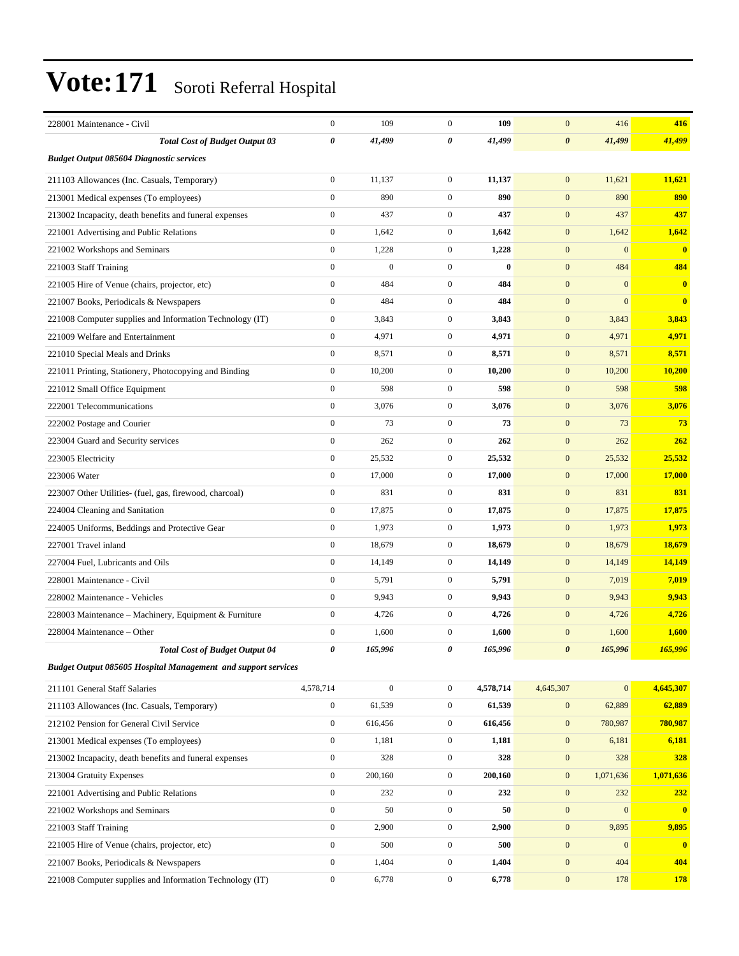| 228001 Maintenance - Civil                                    | $\mathbf{0}$          | 109              | $\mathbf{0}$     | 109       | $\mathbf{0}$          | 416              | 416          |
|---------------------------------------------------------------|-----------------------|------------------|------------------|-----------|-----------------------|------------------|--------------|
| <b>Total Cost of Budget Output 03</b>                         | $\boldsymbol{\theta}$ | 41,499           | 0                | 41,499    | $\boldsymbol{\theta}$ | 41,499           | 41,499       |
| <b>Budget Output 085604 Diagnostic services</b>               |                       |                  |                  |           |                       |                  |              |
| 211103 Allowances (Inc. Casuals, Temporary)                   | $\overline{0}$        | 11,137           | $\mathbf{0}$     | 11,137    | $\mathbf{0}$          | 11,621           | 11,621       |
| 213001 Medical expenses (To employees)                        | $\mathbf{0}$          | 890              | $\mathbf{0}$     | 890       | $\mathbf{0}$          | 890              | 890          |
| 213002 Incapacity, death benefits and funeral expenses        | $\boldsymbol{0}$      | 437              | $\mathbf{0}$     | 437       | $\mathbf{0}$          | 437              | 437          |
| 221001 Advertising and Public Relations                       | $\boldsymbol{0}$      | 1,642            | $\mathbf{0}$     | 1,642     | $\mathbf{0}$          | 1,642            | 1,642        |
| 221002 Workshops and Seminars                                 | $\mathbf{0}$          | 1,228            | $\mathbf{0}$     | 1,228     | $\mathbf{0}$          | $\mathbf{0}$     | $\mathbf{0}$ |
| 221003 Staff Training                                         | $\overline{0}$        | $\overline{0}$   | $\mathbf{0}$     | $\bf{0}$  | $\mathbf{0}$          | 484              | 484          |
| 221005 Hire of Venue (chairs, projector, etc)                 | $\overline{0}$        | 484              | $\mathbf{0}$     | 484       | $\mathbf{0}$          | $\Omega$         | $\bf{0}$     |
| 221007 Books, Periodicals & Newspapers                        | $\mathbf{0}$          | 484              | $\mathbf{0}$     | 484       | $\mathbf{0}$          | $\overline{0}$   | $\bf{0}$     |
| 221008 Computer supplies and Information Technology (IT)      | $\boldsymbol{0}$      | 3,843            | $\boldsymbol{0}$ | 3,843     | $\mathbf{0}$          | 3,843            | 3,843        |
| 221009 Welfare and Entertainment                              | $\boldsymbol{0}$      | 4,971            | $\mathbf{0}$     | 4,971     | $\mathbf{0}$          | 4,971            | 4,971        |
| 221010 Special Meals and Drinks                               | $\overline{0}$        | 8,571            | $\mathbf{0}$     | 8,571     | $\mathbf{0}$          | 8,571            | 8,571        |
| 221011 Printing, Stationery, Photocopying and Binding         | $\overline{0}$        | 10,200           | $\overline{0}$   | 10,200    | $\mathbf{0}$          | 10,200           | 10,200       |
| 221012 Small Office Equipment                                 | $\mathbf{0}$          | 598              | $\boldsymbol{0}$ | 598       | $\mathbf{0}$          | 598              | 598          |
| 222001 Telecommunications                                     | $\boldsymbol{0}$      | 3,076            | $\mathbf{0}$     | 3,076     | $\mathbf{0}$          | 3,076            | 3,076        |
| 222002 Postage and Courier                                    | $\boldsymbol{0}$      | 73               | $\boldsymbol{0}$ | 73        | $\mathbf{0}$          | 73               | 73           |
| 223004 Guard and Security services                            | $\mathbf{0}$          | 262              | $\overline{0}$   | 262       | $\mathbf{0}$          | 262              | 262          |
| 223005 Electricity                                            | $\mathbf{0}$          | 25,532           | $\mathbf{0}$     | 25,532    | $\mathbf{0}$          | 25,532           | 25,532       |
| 223006 Water                                                  | $\mathbf{0}$          | 17,000           | $\mathbf{0}$     | 17,000    | $\mathbf{0}$          | 17,000           | 17,000       |
| 223007 Other Utilities- (fuel, gas, firewood, charcoal)       | $\boldsymbol{0}$      | 831              | $\mathbf{0}$     | 831       | $\mathbf{0}$          | 831              | 831          |
| 224004 Cleaning and Sanitation                                | $\boldsymbol{0}$      | 17,875           | $\mathbf{0}$     | 17,875    | $\mathbf{0}$          | 17,875           | 17,875       |
| 224005 Uniforms, Beddings and Protective Gear                 | $\overline{0}$        | 1,973            | $\mathbf{0}$     | 1,973     | $\mathbf{0}$          | 1,973            | 1,973        |
| 227001 Travel inland                                          | $\overline{0}$        | 18,679           | $\mathbf{0}$     | 18,679    | $\mathbf{0}$          | 18,679           | 18,679       |
| 227004 Fuel, Lubricants and Oils                              | $\boldsymbol{0}$      | 14,149           | $\mathbf{0}$     | 14,149    | $\mathbf{0}$          | 14,149           | 14,149       |
| 228001 Maintenance - Civil                                    | $\boldsymbol{0}$      | 5,791            | $\boldsymbol{0}$ | 5,791     | $\mathbf{0}$          | 7,019            | 7,019        |
| 228002 Maintenance - Vehicles                                 | $\boldsymbol{0}$      | 9,943            | $\mathbf{0}$     | 9,943     | $\mathbf{0}$          | 9,943            | 9,943        |
| 228003 Maintenance - Machinery, Equipment & Furniture         | $\overline{0}$        | 4,726            | $\overline{0}$   | 4,726     | $\mathbf{0}$          | 4,726            | 4,726        |
| 228004 Maintenance - Other                                    | $\mathbf{0}$          | 1,600            | $\overline{0}$   | 1,600     | $\overline{0}$        | 1,600            | 1,600        |
| <b>Total Cost of Budget Output 04</b>                         | 0                     | 165,996          | 0                | 165,996   | $\boldsymbol{\theta}$ | 165,996          | 165,996      |
| Budget Output 085605 Hospital Management and support services |                       |                  |                  |           |                       |                  |              |
| 211101 General Staff Salaries                                 | 4,578,714             | $\boldsymbol{0}$ | $\boldsymbol{0}$ | 4,578,714 | 4,645,307             | $\boldsymbol{0}$ | 4,645,307    |
| 211103 Allowances (Inc. Casuals, Temporary)                   | $\boldsymbol{0}$      | 61,539           | $\boldsymbol{0}$ | 61,539    | $\boldsymbol{0}$      | 62,889           | 62,889       |
| 212102 Pension for General Civil Service                      | $\mathbf{0}$          | 616,456          | $\boldsymbol{0}$ | 616,456   | $\boldsymbol{0}$      | 780,987          | 780,987      |
| 213001 Medical expenses (To employees)                        | $\boldsymbol{0}$      | 1,181            | $\mathbf{0}$     | 1,181     | $\boldsymbol{0}$      | 6,181            | 6,181        |
| 213002 Incapacity, death benefits and funeral expenses        | $\mathbf{0}$          | 328              | $\boldsymbol{0}$ | 328       | $\boldsymbol{0}$      | 328              | 328          |
| 213004 Gratuity Expenses                                      | $\mathbf{0}$          | 200,160          | $\boldsymbol{0}$ | 200,160   | $\mathbf{0}$          | 1,071,636        | 1,071,636    |
| 221001 Advertising and Public Relations                       | $\boldsymbol{0}$      | 232              | $\boldsymbol{0}$ | 232       | $\boldsymbol{0}$      | 232              | 232          |
| 221002 Workshops and Seminars                                 | $\mathbf{0}$          | 50               | $\mathbf{0}$     | 50        | $\mathbf{0}$          | $\mathbf{0}$     | $\mathbf{0}$ |
| 221003 Staff Training                                         | $\boldsymbol{0}$      | 2,900            | $\mathbf{0}$     | 2,900     | $\boldsymbol{0}$      | 9,895            | 9,895        |
| 221005 Hire of Venue (chairs, projector, etc)                 | $\boldsymbol{0}$      | 500              | $\boldsymbol{0}$ | 500       | $\boldsymbol{0}$      | $\mathbf{0}$     | $\bf{0}$     |
| 221007 Books, Periodicals & Newspapers                        | $\mathbf{0}$          | 1,404            | $\boldsymbol{0}$ | 1,404     | $\boldsymbol{0}$      | 404              | 404          |
| 221008 Computer supplies and Information Technology (IT)      | $\boldsymbol{0}$      | 6,778            | $\boldsymbol{0}$ | 6,778     | $\boldsymbol{0}$      | 178              | 178          |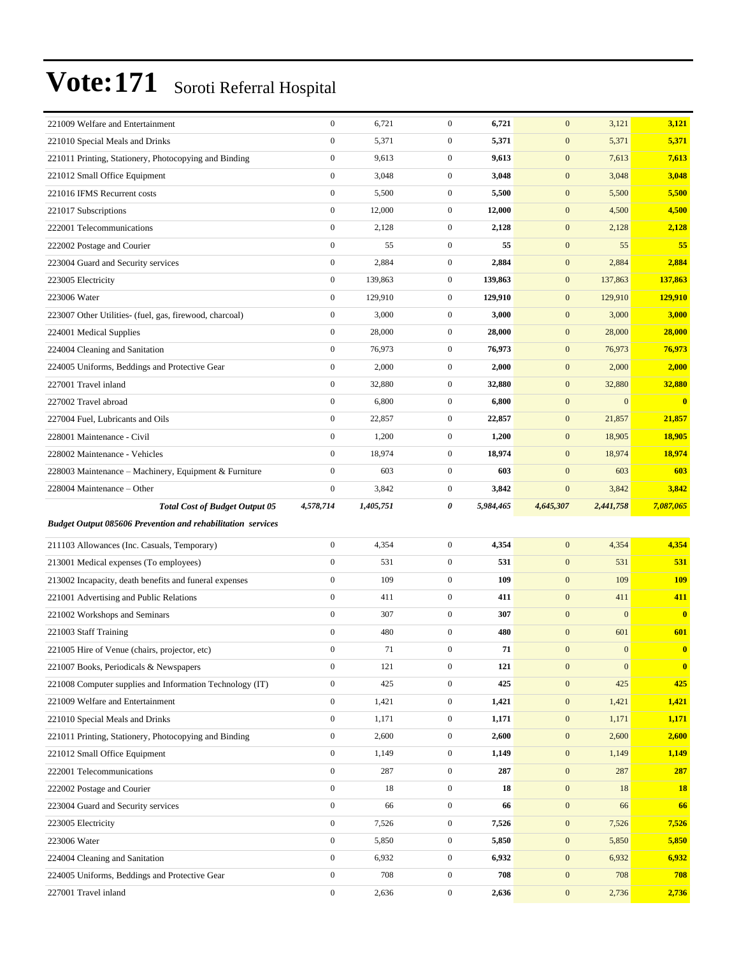| 221009 Welfare and Entertainment                                   | $\boldsymbol{0}$ | 6,721     | $\overline{0}$   | 6,721     | $\mathbf{0}$     | 3,121            | 3,121        |
|--------------------------------------------------------------------|------------------|-----------|------------------|-----------|------------------|------------------|--------------|
| 221010 Special Meals and Drinks                                    | $\boldsymbol{0}$ | 5,371     | $\mathbf{0}$     | 5,371     | $\mathbf{0}$     | 5,371            | 5,371        |
| 221011 Printing, Stationery, Photocopying and Binding              | $\boldsymbol{0}$ | 9,613     | $\mathbf{0}$     | 9,613     | $\mathbf{0}$     | 7,613            | 7,613        |
| 221012 Small Office Equipment                                      | $\boldsymbol{0}$ | 3,048     | $\mathbf{0}$     | 3,048     | $\mathbf{0}$     | 3,048            | 3,048        |
| 221016 IFMS Recurrent costs                                        | $\mathbf{0}$     | 5,500     | $\overline{0}$   | 5,500     | $\mathbf{0}$     | 5,500            | 5,500        |
| 221017 Subscriptions                                               | $\boldsymbol{0}$ | 12,000    | $\mathbf{0}$     | 12,000    | $\mathbf{0}$     | 4,500            | 4,500        |
| 222001 Telecommunications                                          | $\boldsymbol{0}$ | 2,128     | $\mathbf{0}$     | 2,128     | $\mathbf{0}$     | 2,128            | 2,128        |
| 222002 Postage and Courier                                         | $\boldsymbol{0}$ | 55        | $\mathbf{0}$     | 55        | $\mathbf{0}$     | 55               | 55           |
| 223004 Guard and Security services                                 | $\boldsymbol{0}$ | 2,884     | $\mathbf{0}$     | 2,884     | $\mathbf{0}$     | 2,884            | 2,884        |
| 223005 Electricity                                                 | $\boldsymbol{0}$ | 139,863   | $\mathbf{0}$     | 139,863   | $\mathbf{0}$     | 137,863          | 137,863      |
| 223006 Water                                                       | $\boldsymbol{0}$ | 129,910   | $\mathbf{0}$     | 129,910   | $\mathbf{0}$     | 129,910          | 129,910      |
| 223007 Other Utilities- (fuel, gas, firewood, charcoal)            | $\boldsymbol{0}$ | 3,000     | $\overline{0}$   | 3,000     | $\mathbf{0}$     | 3,000            | 3,000        |
| 224001 Medical Supplies                                            | $\boldsymbol{0}$ | 28,000    | $\mathbf{0}$     | 28,000    | $\mathbf{0}$     | 28,000           | 28,000       |
| 224004 Cleaning and Sanitation                                     | $\boldsymbol{0}$ | 76,973    | $\overline{0}$   | 76,973    | $\mathbf{0}$     | 76,973           | 76,973       |
| 224005 Uniforms, Beddings and Protective Gear                      | $\mathbf{0}$     | 2,000     | $\mathbf{0}$     | 2,000     | $\mathbf{0}$     | 2,000            | 2,000        |
| 227001 Travel inland                                               | $\boldsymbol{0}$ | 32,880    | $\mathbf{0}$     | 32,880    | $\mathbf{0}$     | 32,880           | 32,880       |
| 227002 Travel abroad                                               | $\boldsymbol{0}$ | 6,800     | $\overline{0}$   | 6,800     | $\mathbf{0}$     | $\mathbf{0}$     | $\bf{0}$     |
| 227004 Fuel, Lubricants and Oils                                   | $\boldsymbol{0}$ | 22,857    | $\mathbf{0}$     | 22,857    | $\mathbf{0}$     | 21,857           | 21,857       |
| 228001 Maintenance - Civil                                         | $\boldsymbol{0}$ | 1,200     | $\mathbf{0}$     | 1,200     | $\mathbf{0}$     | 18,905           | 18,905       |
| 228002 Maintenance - Vehicles                                      | $\mathbf{0}$     | 18,974    | $\mathbf{0}$     | 18,974    | $\mathbf{0}$     | 18,974           | 18,974       |
| 228003 Maintenance - Machinery, Equipment & Furniture              | $\boldsymbol{0}$ | 603       | $\mathbf{0}$     | 603       | $\mathbf{0}$     | 603              | 603          |
| 228004 Maintenance – Other                                         | $\boldsymbol{0}$ | 3,842     | $\mathbf{0}$     | 3,842     | $\boldsymbol{0}$ | 3,842            | 3,842        |
|                                                                    | 4,578,714        |           | 0                | 5,984,465 | 4,645,307        | 2,441,758        |              |
| <b>Total Cost of Budget Output 05</b>                              |                  | 1,405,751 |                  |           |                  |                  | 7,087,065    |
| <b>Budget Output 085606 Prevention and rehabilitation services</b> |                  |           |                  |           |                  |                  |              |
| 211103 Allowances (Inc. Casuals, Temporary)                        | $\boldsymbol{0}$ | 4,354     | $\mathbf{0}$     | 4,354     | $\mathbf{0}$     | 4,354            | 4,354        |
| 213001 Medical expenses (To employees)                             | $\boldsymbol{0}$ | 531       | $\overline{0}$   | 531       | $\mathbf{0}$     | 531              | 531          |
| 213002 Incapacity, death benefits and funeral expenses             | $\boldsymbol{0}$ | 109       | $\mathbf{0}$     | 109       | $\mathbf{0}$     | 109              | <b>109</b>   |
| 221001 Advertising and Public Relations                            | $\boldsymbol{0}$ | 411       | $\overline{0}$   | 411       | $\boldsymbol{0}$ | 411              | 411          |
| 221002 Workshops and Seminars                                      | $\mathbf{0}$     | 307       | $\overline{0}$   | 307       | $\mathbf{0}$     | $\mathbf{0}$     | $\mathbf{0}$ |
| 221003 Staff Training                                              | $\mathbf{0}$     | 480       | $\overline{0}$   | 480       | $\mathbf{0}$     | 601              | 601          |
| 221005 Hire of Venue (chairs, projector, etc)                      | $\mathbf{0}$     | 71        | $\overline{0}$   | 71        | $\mathbf{0}$     | $\mathbf{0}$     | $\bf{0}$     |
| 221007 Books, Periodicals & Newspapers                             | $\boldsymbol{0}$ | 121       | $\overline{0}$   | 121       | $\mathbf{0}$     | $\boldsymbol{0}$ | $\bf{0}$     |
| 221008 Computer supplies and Information Technology (IT)           | $\boldsymbol{0}$ | 425       | $\boldsymbol{0}$ | 425       | $\boldsymbol{0}$ | 425              | 425          |
| 221009 Welfare and Entertainment                                   | $\boldsymbol{0}$ | 1,421     | $\boldsymbol{0}$ | 1,421     | $\mathbf{0}$     | 1,421            | 1,421        |
| 221010 Special Meals and Drinks                                    | $\boldsymbol{0}$ | 1,171     | $\boldsymbol{0}$ | 1,171     | $\mathbf{0}$     | 1,171            | 1,171        |
| 221011 Printing, Stationery, Photocopying and Binding              | $\boldsymbol{0}$ | 2,600     | $\boldsymbol{0}$ | 2,600     | $\mathbf{0}$     | 2,600            | 2,600        |
| 221012 Small Office Equipment                                      | $\boldsymbol{0}$ | 1,149     | $\mathbf{0}$     | 1,149     | $\mathbf{0}$     | 1,149            | 1,149        |
| 222001 Telecommunications                                          | $\boldsymbol{0}$ | 287       | $\boldsymbol{0}$ | 287       | $\mathbf{0}$     | 287              | 287          |
| 222002 Postage and Courier                                         | $\boldsymbol{0}$ | 18        | $\boldsymbol{0}$ | 18        | $\mathbf{0}$     | 18               | <b>18</b>    |
| 223004 Guard and Security services                                 | $\boldsymbol{0}$ | 66        | $\boldsymbol{0}$ | 66        | $\mathbf{0}$     | 66               | 66           |
| 223005 Electricity                                                 | $\boldsymbol{0}$ | 7,526     | $\boldsymbol{0}$ | 7,526     | $\mathbf{0}$     | 7,526            | 7,526        |
| 223006 Water                                                       | $\boldsymbol{0}$ | 5,850     | $\mathbf{0}$     | 5,850     | $\mathbf{0}$     | 5,850            | 5,850        |
| 224004 Cleaning and Sanitation                                     | $\boldsymbol{0}$ | 6,932     | $\boldsymbol{0}$ | 6,932     | $\mathbf{0}$     | 6,932            | 6,932        |
| 224005 Uniforms, Beddings and Protective Gear                      | $\boldsymbol{0}$ | 708       | $\boldsymbol{0}$ | 708       | $\mathbf{0}$     | 708              | 708          |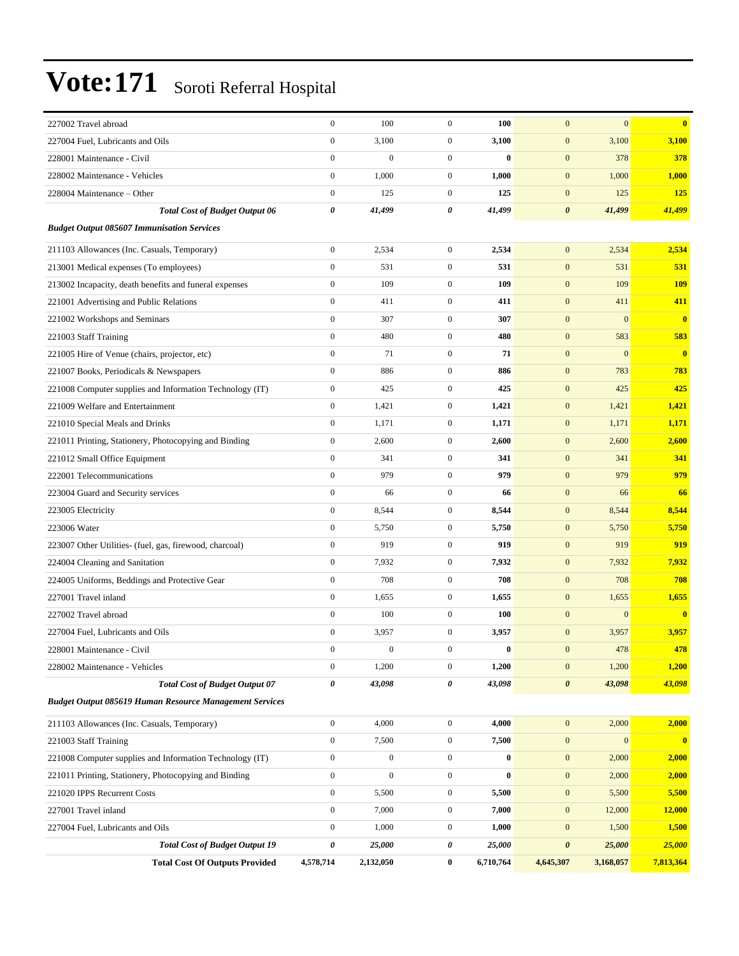| 227002 Travel abroad                                           | $\boldsymbol{0}$      | 100              | $\mathbf{0}$     | 100       | $\mathbf{0}$          | $\mathbf{0}$ | $\mathbf{0}$            |
|----------------------------------------------------------------|-----------------------|------------------|------------------|-----------|-----------------------|--------------|-------------------------|
| 227004 Fuel, Lubricants and Oils                               | $\boldsymbol{0}$      | 3,100            | $\mathbf{0}$     | 3,100     | $\mathbf{0}$          | 3,100        | 3,100                   |
| 228001 Maintenance - Civil                                     | $\boldsymbol{0}$      | $\boldsymbol{0}$ | $\overline{0}$   | $\bf{0}$  | $\boldsymbol{0}$      | 378          | 378                     |
| 228002 Maintenance - Vehicles                                  | $\boldsymbol{0}$      | 1,000            | $\mathbf{0}$     | 1,000     | $\mathbf{0}$          | 1,000        | 1,000                   |
| 228004 Maintenance - Other                                     | $\overline{0}$        | 125              | $\mathbf{0}$     | 125       | $\mathbf{0}$          | 125          | 125                     |
| <b>Total Cost of Budget Output 06</b>                          | $\boldsymbol{\theta}$ | 41,499           | 0                | 41,499    | $\boldsymbol{\theta}$ | 41,499       | 41,499                  |
| <b>Budget Output 085607 Immunisation Services</b>              |                       |                  |                  |           |                       |              |                         |
| 211103 Allowances (Inc. Casuals, Temporary)                    | $\boldsymbol{0}$      | 2,534            | $\overline{0}$   | 2,534     | $\mathbf{0}$          | 2,534        | 2,534                   |
| 213001 Medical expenses (To employees)                         | $\boldsymbol{0}$      | 531              | $\overline{0}$   | 531       | $\mathbf{0}$          | 531          | 531                     |
| 213002 Incapacity, death benefits and funeral expenses         | $\mathbf{0}$          | 109              | $\mathbf{0}$     | 109       | $\mathbf{0}$          | 109          | <b>109</b>              |
| 221001 Advertising and Public Relations                        | $\mathbf{0}$          | 411              | $\overline{0}$   | 411       | $\mathbf{0}$          | 411          | 411                     |
| 221002 Workshops and Seminars                                  | $\mathbf{0}$          | 307              | $\overline{0}$   | 307       | $\mathbf{0}$          | $\mathbf{0}$ | $\overline{\mathbf{0}}$ |
| 221003 Staff Training                                          | $\mathbf{0}$          | 480              | $\mathbf{0}$     | 480       | $\mathbf{0}$          | 583          | 583                     |
| 221005 Hire of Venue (chairs, projector, etc)                  | $\boldsymbol{0}$      | 71               | $\overline{0}$   | 71        | $\mathbf{0}$          | $\mathbf{0}$ | $\overline{\mathbf{0}}$ |
| 221007 Books, Periodicals & Newspapers                         | $\mathbf{0}$          | 886              | $\mathbf{0}$     | 886       | $\mathbf{0}$          | 783          | 783                     |
| 221008 Computer supplies and Information Technology (IT)       | $\mathbf{0}$          | 425              | $\overline{0}$   | 425       | $\mathbf{0}$          | 425          | 425                     |
| 221009 Welfare and Entertainment                               | $\boldsymbol{0}$      | 1,421            | $\mathbf{0}$     | 1,421     | $\mathbf{0}$          | 1,421        | 1,421                   |
| 221010 Special Meals and Drinks                                | $\boldsymbol{0}$      | 1,171            | $\mathbf{0}$     | 1,171     | $\mathbf{0}$          | 1,171        | 1,171                   |
| 221011 Printing, Stationery, Photocopying and Binding          | $\mathbf{0}$          | 2,600            | $\mathbf{0}$     | 2,600     | $\mathbf{0}$          | 2,600        | 2,600                   |
| 221012 Small Office Equipment                                  | $\mathbf{0}$          | 341              | $\mathbf{0}$     | 341       | $\mathbf{0}$          | 341          | 341                     |
| 222001 Telecommunications                                      | $\mathbf{0}$          | 979              | $\overline{0}$   | 979       | $\mathbf{0}$          | 979          | 979                     |
| 223004 Guard and Security services                             | $\mathbf{0}$          | 66               | $\overline{0}$   | 66        | $\mathbf{0}$          | 66           | 66                      |
| 223005 Electricity                                             | $\mathbf{0}$          | 8,544            | $\mathbf{0}$     | 8,544     | $\mathbf{0}$          | 8,544        | 8,544                   |
| 223006 Water                                                   | $\mathbf{0}$          | 5,750            | $\mathbf{0}$     | 5,750     | $\mathbf{0}$          | 5,750        | 5,750                   |
| 223007 Other Utilities- (fuel, gas, firewood, charcoal)        | $\mathbf{0}$          | 919              | $\mathbf{0}$     | 919       | $\mathbf{0}$          | 919          | 919                     |
| 224004 Cleaning and Sanitation                                 | $\boldsymbol{0}$      | 7,932            | $\mathbf{0}$     | 7,932     | $\mathbf{0}$          | 7,932        | 7,932                   |
| 224005 Uniforms, Beddings and Protective Gear                  | $\mathbf{0}$          | 708              | $\overline{0}$   | 708       | $\mathbf{0}$          | 708          | 708                     |
| 227001 Travel inland                                           | $\boldsymbol{0}$      | 1,655            | $\mathbf{0}$     | 1,655     | $\mathbf{0}$          | 1,655        | 1,655                   |
| 227002 Travel abroad                                           | $\mathbf{0}$          | 100              | $\overline{0}$   | 100       | $\mathbf{0}$          | $\mathbf{0}$ | $\overline{\mathbf{0}}$ |
| 227004 Fuel, Lubricants and Oils                               | $\boldsymbol{0}$      | 3,957            | $\mathbf{0}$     | 3,957     | $\mathbf{0}$          | 3,957        | 3,957                   |
| 228001 Maintenance - Civil                                     | $\Omega$              | $\mathbf{0}$     | $\Omega$         | $\bf{0}$  | $\boldsymbol{0}$      | 478          | 478                     |
| 228002 Maintenance - Vehicles                                  | $\mathbf{0}$          | 1,200            | $\overline{0}$   | 1,200     | $\mathbf{0}$          | 1,200        | 1,200                   |
| <b>Total Cost of Budget Output 07</b>                          | $\pmb{\theta}$        | 43,098           | 0                | 43,098    | $\boldsymbol{\theta}$ | 43,098       | 43,098                  |
| <b>Budget Output 085619 Human Resource Management Services</b> |                       |                  |                  |           |                       |              |                         |
| 211103 Allowances (Inc. Casuals, Temporary)                    | $\boldsymbol{0}$      | 4,000            | $\boldsymbol{0}$ | 4,000     | $\boldsymbol{0}$      | 2,000        | 2,000                   |
| 221003 Staff Training                                          | $\mathbf{0}$          | 7,500            | $\boldsymbol{0}$ | 7,500     | $\boldsymbol{0}$      | $\mathbf{0}$ | $\mathbf{0}$            |
| 221008 Computer supplies and Information Technology (IT)       | $\boldsymbol{0}$      | $\boldsymbol{0}$ | $\boldsymbol{0}$ | $\bf{0}$  | $\mathbf{0}$          | 2,000        | 2,000                   |
| 221011 Printing, Stationery, Photocopying and Binding          | $\boldsymbol{0}$      | $\boldsymbol{0}$ | $\boldsymbol{0}$ | $\bf{0}$  | $\boldsymbol{0}$      | 2,000        | 2,000                   |
| 221020 IPPS Recurrent Costs                                    | $\boldsymbol{0}$      | 5,500            | $\boldsymbol{0}$ | 5,500     | $\mathbf{0}$          | 5,500        | 5,500                   |
| 227001 Travel inland                                           | $\boldsymbol{0}$      | 7,000            | $\boldsymbol{0}$ | 7,000     | $\mathbf{0}$          | 12,000       | 12,000                  |
| 227004 Fuel, Lubricants and Oils                               | $\boldsymbol{0}$      | 1,000            | $\boldsymbol{0}$ | 1,000     | $\boldsymbol{0}$      | 1,500        | 1,500                   |
| <b>Total Cost of Budget Output 19</b>                          | 0                     | 25,000           | 0                | 25,000    | $\pmb{\theta}$        | 25,000       | 25,000                  |
| <b>Total Cost Of Outputs Provided</b>                          | 4,578,714             | 2,132,050        | $\bf{0}$         | 6,710,764 | 4,645,307             | 3,168,057    | 7,813,364               |
|                                                                |                       |                  |                  |           |                       |              |                         |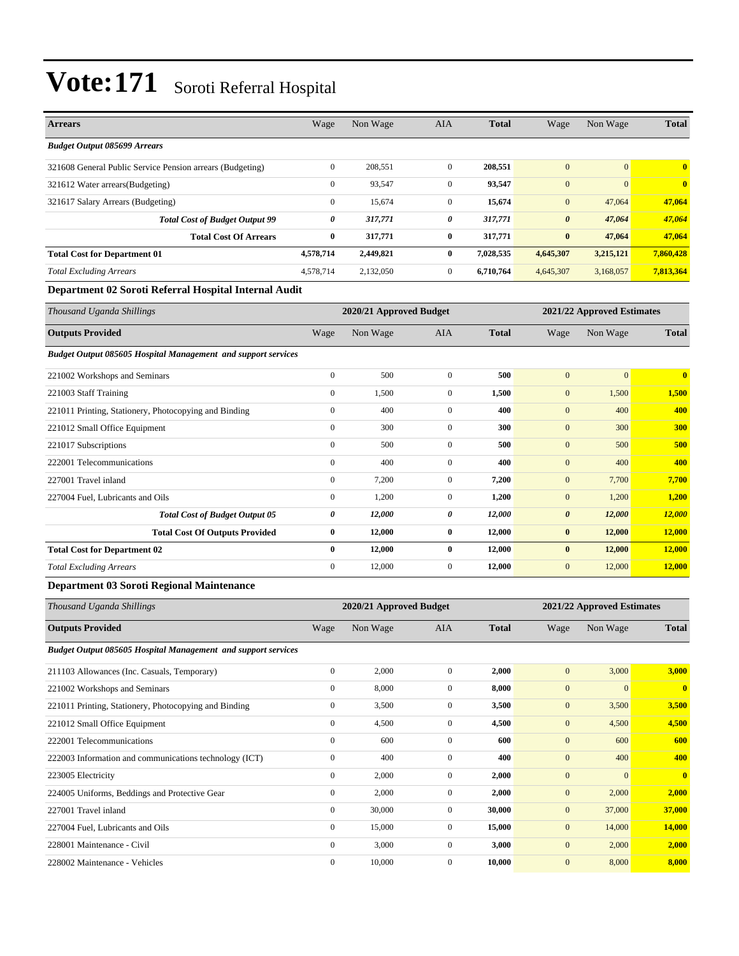| <b>Arrears</b>                                            | Wage         | Non Wage  | <b>AIA</b>     | <b>Total</b> | Wage                  | Non Wage       | <b>Total</b>            |
|-----------------------------------------------------------|--------------|-----------|----------------|--------------|-----------------------|----------------|-------------------------|
| <b>Budget Output 085699 Arrears</b>                       |              |           |                |              |                       |                |                         |
| 321608 General Public Service Pension arrears (Budgeting) | $\mathbf{0}$ | 208,551   | $\overline{0}$ | 208,551      | $\overline{0}$        | $\overline{0}$ | $\overline{\mathbf{0}}$ |
| 321612 Water arrears (Budgeting)                          | $\mathbf{0}$ | 93,547    | $\overline{0}$ | 93,547       | $\boldsymbol{0}$      | $\overline{0}$ | $\overline{\mathbf{0}}$ |
| 321617 Salary Arrears (Budgeting)                         | $\mathbf{0}$ | 15,674    | $\overline{0}$ | 15,674       | $\mathbf{0}$          | 47,064         | 47,064                  |
| <b>Total Cost of Budget Output 99</b>                     | 0            | 317,771   | 0              | 317,771      | $\boldsymbol{\theta}$ | 47,064         | 47,064                  |
| <b>Total Cost Of Arrears</b>                              | $\bf{0}$     | 317,771   | $\bf{0}$       | 317,771      | $\bf{0}$              | 47.064         | 47,064                  |
| <b>Total Cost for Department 01</b>                       | 4,578,714    | 2,449,821 | $\mathbf{0}$   | 7,028,535    | 4,645,307             | 3,215,121      | 7,860,428               |
| <b>Total Excluding Arrears</b>                            | 4,578,714    | 2,132,050 | $\overline{0}$ | 6,710,764    | 4,645,307             | 3,168,057      | 7,813,364               |

#### **Department 02 Soroti Referral Hospital Internal Audit**

| Thousand Uganda Shillings                                            | 2020/21 Approved Budget<br>2021/22 Approved Estimates |          |              |              |                       |                |                         |
|----------------------------------------------------------------------|-------------------------------------------------------|----------|--------------|--------------|-----------------------|----------------|-------------------------|
| <b>Outputs Provided</b>                                              | Wage                                                  | Non Wage | <b>AIA</b>   | <b>Total</b> | Wage                  | Non Wage       | <b>Total</b>            |
| <b>Budget Output 085605 Hospital Management and support services</b> |                                                       |          |              |              |                       |                |                         |
| 221002 Workshops and Seminars                                        | $\bf{0}$                                              | 500      | $\mathbf{0}$ | 500          | $\mathbf{0}$          | $\overline{0}$ | $\overline{\mathbf{0}}$ |
| 221003 Staff Training                                                | $\mathbf{0}$                                          | 1,500    | $\mathbf{0}$ | 1,500        | $\mathbf{0}$          | 1,500          | 1,500                   |
| 221011 Printing, Stationery, Photocopying and Binding                | $\mathbf{0}$                                          | 400      | $\Omega$     | 400          | $\mathbf{0}$          | 400            | 400                     |
| 221012 Small Office Equipment                                        | $\mathbf{0}$                                          | 300      | $\mathbf{0}$ | 300          | $\mathbf{0}$          | 300            | 300                     |
| 221017 Subscriptions                                                 | $\mathbf{0}$                                          | 500      | $\mathbf{0}$ | 500          | $\mathbf{0}$          | 500            | 500                     |
| 222001 Telecommunications                                            | $\mathbf{0}$                                          | 400      | $\Omega$     | 400          | $\mathbf{0}$          | 400            | 400                     |
| 227001 Travel inland                                                 | $\mathbf{0}$                                          | 7,200    | 0            | 7,200        | $\mathbf{0}$          | 7,700          | 7,700                   |
| 227004 Fuel, Lubricants and Oils                                     | $\mathbf{0}$                                          | 1,200    | $\mathbf{0}$ | 1,200        | $\mathbf{0}$          | 1,200          | 1,200                   |
| <b>Total Cost of Budget Output 05</b>                                | 0                                                     | 12,000   | 0            | 12,000       | $\boldsymbol{\theta}$ | 12,000         | 12,000                  |
| <b>Total Cost Of Outputs Provided</b>                                | $\bf{0}$                                              | 12,000   | $\bf{0}$     | 12,000       | $\bf{0}$              | 12,000         | 12,000                  |
| <b>Total Cost for Department 02</b>                                  | $\bf{0}$                                              | 12,000   | $\bf{0}$     | 12,000       | $\bf{0}$              | 12,000         | 12,000                  |
| <b>Total Excluding Arrears</b>                                       | $\boldsymbol{0}$                                      | 12,000   | $\mathbf{0}$ | 12,000       | $\mathbf{0}$          | 12,000         | 12,000                  |
|                                                                      |                                                       |          |              |              |                       |                |                         |

#### **Department 03 Soroti Regional Maintenance**

| Thousand Uganda Shillings                                            |              | 2020/21 Approved Budget |                |              |                  | 2021/22 Approved Estimates |              |  |  |
|----------------------------------------------------------------------|--------------|-------------------------|----------------|--------------|------------------|----------------------------|--------------|--|--|
| <b>Outputs Provided</b>                                              | Wage         | Non Wage                | <b>AIA</b>     | <b>Total</b> | Wage             | Non Wage                   | <b>Total</b> |  |  |
| <b>Budget Output 085605 Hospital Management and support services</b> |              |                         |                |              |                  |                            |              |  |  |
| 211103 Allowances (Inc. Casuals, Temporary)                          | $\bf{0}$     | 2,000                   | $\overline{0}$ | 2,000        | $\mathbf{0}$     | 3,000                      | 3,000        |  |  |
| 221002 Workshops and Seminars                                        | $\mathbf{0}$ | 8,000                   | $\overline{0}$ | 8,000        | $\mathbf{0}$     | $\overline{0}$             | $\mathbf{0}$ |  |  |
| 221011 Printing, Stationery, Photocopying and Binding                | $\mathbf{0}$ | 3,500                   | $\mathbf{0}$   | 3,500        | $\mathbf{0}$     | 3,500                      | 3,500        |  |  |
| 221012 Small Office Equipment                                        | $\mathbf{0}$ | 4,500                   | $\mathbf{0}$   | 4,500        | $\mathbf{0}$     | 4,500                      | 4,500        |  |  |
| 222001 Telecommunications                                            | $\mathbf{0}$ | 600                     | $\Omega$       | 600          | $\mathbf{0}$     | 600                        | 600          |  |  |
| 222003 Information and communications technology (ICT)               | $\mathbf{0}$ | 400                     | $\mathbf{0}$   | 400          | $\mathbf{0}$     | 400                        | 400          |  |  |
| 223005 Electricity                                                   | $\mathbf{0}$ | 2,000                   | $\overline{0}$ | 2,000        | $\mathbf{0}$     | $\overline{0}$             | $\mathbf{0}$ |  |  |
| 224005 Uniforms, Beddings and Protective Gear                        | $\mathbf{0}$ | 2,000                   | $\overline{0}$ | 2,000        | $\mathbf{0}$     | 2,000                      | 2,000        |  |  |
| 227001 Travel inland                                                 | $\mathbf{0}$ | 30,000                  | $\overline{0}$ | 30,000       | $\mathbf{0}$     | 37,000                     | 37,000       |  |  |
| 227004 Fuel, Lubricants and Oils                                     | $\mathbf{0}$ | 15,000                  | $\overline{0}$ | 15,000       | $\mathbf{0}$     | 14,000                     | 14,000       |  |  |
| 228001 Maintenance - Civil                                           | $\mathbf{0}$ | 3,000                   | $\overline{0}$ | 3,000        | $\mathbf{0}$     | 2,000                      | 2,000        |  |  |
| 228002 Maintenance - Vehicles                                        | $\mathbf{0}$ | 10,000                  | $\Omega$       | 10,000       | $\boldsymbol{0}$ | 8,000                      | 8,000        |  |  |